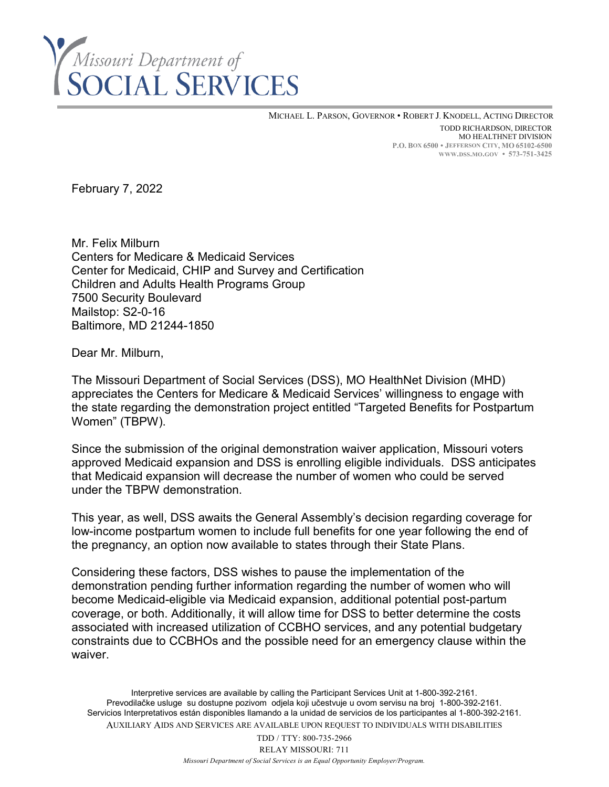

MICHAEL L. PARSON, GOVERNOR • ROBERT J. KNODELL, ACTING DIRECTOR TODD RICHARDSON, DIRECTOR MO HEALTHNET DIVISION **P.O. BOX 6500 • JEFFERSON CITY, MO 65102-6500 WWW.DSS.MO.GOV • 573-751-3425**

February 7, 2022

Mr. Felix Milburn Centers for Medicare & Medicaid Services Center for Medicaid, CHIP and Survey and Certification Children and Adults Health Programs Group 7500 Security Boulevard Mailstop: S2-0-16 Baltimore, MD 21244-1850

Dear Mr. Milburn,

The Missouri Department of Social Services (DSS), MO HealthNet Division (MHD) appreciates the Centers for Medicare & Medicaid Services' willingness to engage with the state regarding the demonstration project entitled "Targeted Benefits for Postpartum Women" (TBPW).

Since the submission of the original demonstration waiver application, Missouri voters approved Medicaid expansion and DSS is enrolling eligible individuals. DSS anticipates that Medicaid expansion will decrease the number of women who could be served under the TBPW demonstration.

This year, as well, DSS awaits the General Assembly's decision regarding coverage for low-income postpartum women to include full benefits for one year following the end of the pregnancy, an option now available to states through their State Plans.

Considering these factors, DSS wishes to pause the implementation of the demonstration pending further information regarding the number of women who will become Medicaid-eligible via Medicaid expansion, additional potential post-partum coverage, or both. Additionally, it will allow time for DSS to better determine the costs associated with increased utilization of CCBHO services, and any potential budgetary constraints due to CCBHOs and the possible need for an emergency clause within the waiver.

Interpretive services are available by calling the Participant Services Unit at 1-800-392-2161. Prevodilačke usluge su dostupne pozivom odjela koji učestvuje u ovom servisu na broj 1-800-392-2161. Servicios Interpretativos están disponibles llamando a la unidad de servicios de los participantes al 1-800-392-2161. AUXILIARY AIDS AND SERVICES ARE AVAILABLE UPON REQUEST TO INDIVIDUALS WITH DISABILITIES